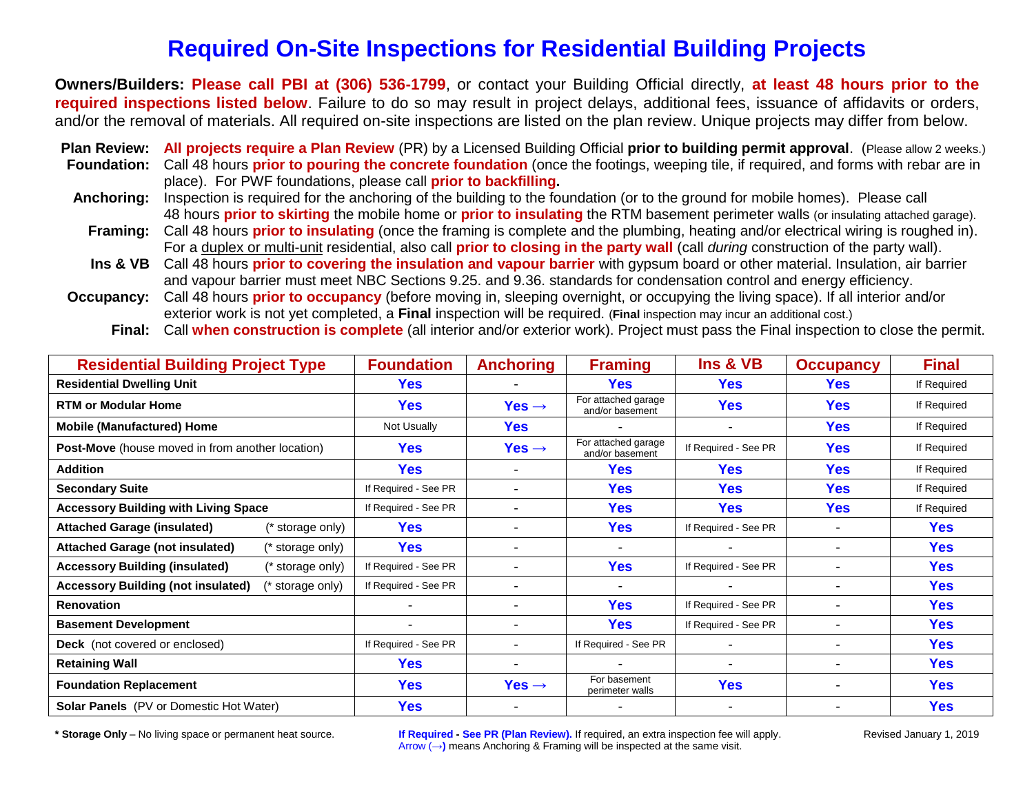# **Required On-Site Inspections for Residential Building Projects**

**Owners/Builders: Please call PBI at (306) 536-1799**, or contact your Building Official directly, **at least 48 hours prior to the required inspections listed below**. Failure to do so may result in project delays, additional fees, issuance of affidavits or orders, and/or the removal of materials. All required on-site inspections are listed on the plan review. Unique projects may differ from below.

**Plan Review: All projects require a Plan Review** (PR) by a Licensed Building Official **prior to building permit approval**. (Please allow 2 weeks.) **Foundation:** Call 48 hours **prior to pouring the concrete foundation** (once the footings, weeping tile, if required, and forms with rebar are in place). For PWF foundations, please call **prior to backfilling. Anchoring:** Inspection is required for the anchoring of the building to the foundation (or to the ground for mobile homes). Please call 48 hours **prior to skirting** the mobile home or **prior to insulating** the RTM basement perimeter walls (or insulating attached garage). **Framing:** Call 48 hours **prior to insulating** (once the framing is complete and the plumbing, heating and/or electrical wiring is roughed in). For a duplex or multi-unit residential, also call **prior to closing in the party wall** (call *during* construction of the party wall).

- **Ins & VB** Call 48 hours **prior to covering the insulation and vapour barrier** with gypsum board or other material. Insulation, air barrier and vapour barrier must meet NBC Sections 9.25. and 9.36. standards for condensation control and energy efficiency.
- **Occupancy:** Call 48 hours **prior to occupancy** (before moving in, sleeping overnight, or occupying the living space). If all interior and/or exterior work is not yet completed, a **Final** inspection will be required. (**Final** inspection may incur an additional cost.)

| Final: Call when construction is complete (all interior and/or exterior work). Project must pass the Final inspection to close the permit. |  |  |
|--------------------------------------------------------------------------------------------------------------------------------------------|--|--|
|                                                                                                                                            |  |  |

| <b>Residential Building Project Type</b>                      | <b>Foundation</b>        | <b>Anchoring</b>         | <b>Framing</b>                         | Ins & VB             | <b>Occupancy</b>         | <b>Final</b> |
|---------------------------------------------------------------|--------------------------|--------------------------|----------------------------------------|----------------------|--------------------------|--------------|
| <b>Residential Dwelling Unit</b>                              | <b>Yes</b>               |                          | Yes                                    | <b>Yes</b>           | <b>Yes</b>               | If Required  |
| <b>RTM or Modular Home</b>                                    | Yes                      | Yes $\rightarrow$        | For attached garage<br>and/or basement | <b>Yes</b>           | <b>Yes</b>               | If Required  |
| <b>Mobile (Manufactured) Home</b>                             | Not Usually              | <b>Yes</b>               |                                        |                      | <b>Yes</b>               | If Required  |
| <b>Post-Move</b> (house moved in from another location)       | <b>Yes</b>               | Yes $\rightarrow$        | For attached garage<br>and/or basement | If Required - See PR | <b>Yes</b>               | If Required  |
| <b>Addition</b>                                               | <b>Yes</b>               |                          | <b>Yes</b>                             | <b>Yes</b>           | <b>Yes</b>               | If Required  |
| <b>Secondary Suite</b>                                        | If Required - See PR     |                          | <b>Yes</b>                             | <b>Yes</b>           | <b>Yes</b>               | If Required  |
| <b>Accessory Building with Living Space</b>                   | If Required - See PR     | $\overline{\phantom{a}}$ | <b>Yes</b>                             | <b>Yes</b>           | <b>Yes</b>               | If Required  |
| <b>Attached Garage (insulated)</b><br>'* storage only)        | <b>Yes</b>               |                          | <b>Yes</b>                             | If Required - See PR |                          | <b>Yes</b>   |
| <b>Attached Garage (not insulated)</b><br>storage only)       | <b>Yes</b>               | $\blacksquare$           |                                        |                      |                          | <b>Yes</b>   |
| <b>Accessory Building (insulated)</b><br>* storage only)      | If Required - See PR     | $\blacksquare$           | <b>Yes</b>                             | If Required - See PR | $\blacksquare$           | <b>Yes</b>   |
| <b>Accessory Building (not insulated)</b><br>(* storage only) | If Required - See PR     | $\blacksquare$           |                                        |                      |                          | <b>Yes</b>   |
| <b>Renovation</b>                                             |                          | $\overline{\phantom{0}}$ | <b>Yes</b>                             | If Required - See PR | $\overline{\phantom{0}}$ | <b>Yes</b>   |
| <b>Basement Development</b>                                   | $\overline{\phantom{0}}$ | $\overline{\phantom{0}}$ | <b>Yes</b>                             | If Required - See PR |                          | <b>Yes</b>   |
| <b>Deck</b> (not covered or enclosed)                         | If Required - See PR     |                          | If Required - See PR                   |                      | $\overline{\phantom{0}}$ | <b>Yes</b>   |
| <b>Retaining Wall</b>                                         | <b>Yes</b>               | $\overline{\phantom{0}}$ |                                        |                      |                          | <b>Yes</b>   |
| <b>Foundation Replacement</b>                                 | <b>Yes</b>               | Yes $\rightarrow$        | For basement<br>perimeter walls        | <b>Yes</b>           |                          | <b>Yes</b>   |
| <b>Solar Panels</b> (PV or Domestic Hot Water)                | Yes                      |                          |                                        |                      |                          | <b>Yes</b>   |

**\* Storage Only** – No living space or permanent heat source. **If Required - See PR (Plan Review).** If required, an extra inspection fee will apply. Revised January 1, 2019 Arrow (**→)** means Anchoring & Framing will be inspected at the same visit.